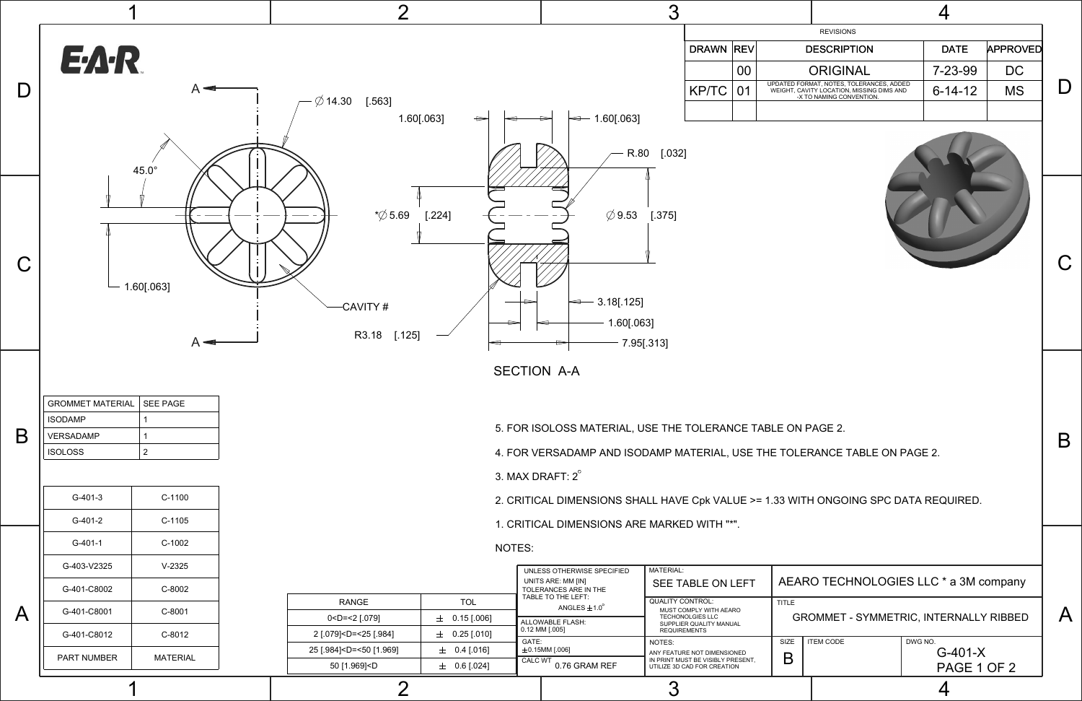A

B

C

## AEARO TECHNOLOGIES LLC \* a 3M company



PART NUMBER | MATERIAL

|            | <b>REVISIONS</b>                                                                                                  |               |                 |  |
|------------|-------------------------------------------------------------------------------------------------------------------|---------------|-----------------|--|
| <b>REV</b> | <b>DESCRIPTION</b>                                                                                                | <b>DATE</b>   | <b>APPROVED</b> |  |
| 00         | <b>ORIGINAL</b>                                                                                                   | $7 - 23 - 99$ | DC              |  |
| 01         | UPDATED FORMAT, NOTES, TOLERANCES, ADDED<br>WEIGHT, CAVITY LOCATION, MISSING DIMS AND<br>-X TO NAMING CONVENTION. | $6 - 14 - 12$ | <b>MS</b>       |  |
|            |                                                                                                                   |               |                 |  |



|  | MATERIAL | 50 [1.969] <d< th=""><th><math>0.6</math> [.024]</th><th><b>CALC WT</b><br/>0.76 GRAM REF</th><th>IN PRINT MUST BE VISIBLY PRESENT,<br/>UTILIZE 3D CAD FOR CREATION</th><th></th><th></th><th>PAGE 1 OF 2</th></d<> | $0.6$ [.024]    | <b>CALC WT</b><br>0.76 GRAM REF | IN PRINT MUST BE VISIBLY PRESENT,<br>UTILIZE 3D CAD FOR CREATION |      |                  | PAGE 1 OF 2 |  |  |
|--|----------|---------------------------------------------------------------------------------------------------------------------------------------------------------------------------------------------------------------------|-----------------|---------------------------------|------------------------------------------------------------------|------|------------------|-------------|--|--|
|  |          | $0.4$ [.016]<br>25 [.984] <d=<50 [1.969]<="" td=""><td><math>\pm</math>0.15MM [.006]</td><td>ANY FEATURE NOT DIMENSIONED</td><td>−</td><td></td><td colspan="2"><math>G-401-X</math></td></d=<50>                   |                 | $\pm$ 0.15MM [.006]             | ANY FEATURE NOT DIMENSIONED                                      | −    |                  | $G-401-X$   |  |  |
|  |          |                                                                                                                                                                                                                     |                 | GATE:                           | NOTES:                                                           | SIZE | <b>ITEM CODE</b> | DWG NO.     |  |  |
|  | C-8012   | 21.079 < U = < 25   .984                                                                                                                                                                                            | $0.25$ $ .010 $ | $ -    $                        | 1.2331.1211.121.13                                               |      |                  |             |  |  |

GROMMET - SYMMETRIC, INTERNALLY RIBBED